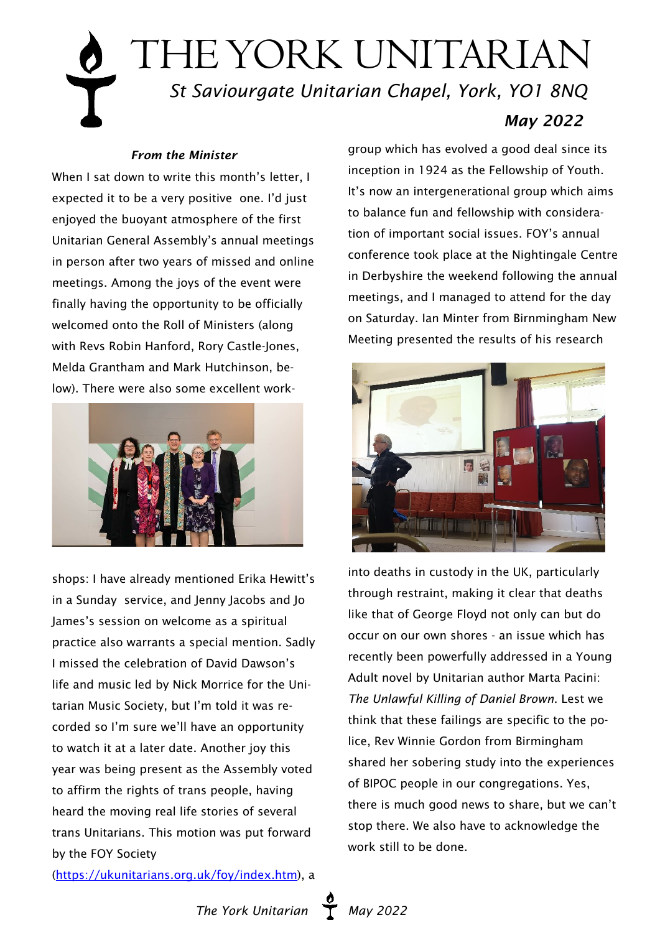# THE YORK UNITARIAN  *St Saviourgate Unitarian Chapel, York, YO1 8NQ May 2022*

#### *From the Minister*

When I sat down to write this month's letter. I expected it to be a very positive one. I'd just enjoyed the buoyant atmosphere of the first Unitarian General Assembly's annual meetings in person after two years of missed and online meetings. Among the joys of the event were finally having the opportunity to be officially welcomed onto the Roll of Ministers (along with Revs Robin Hanford, Rory Castle-Jones, Melda Grantham and Mark Hutchinson, below). There were also some excellent work-



shops: I have already mentioned Erika Hewitt's in a Sunday service, and Jenny Jacobs and Jo James's session on welcome as a spiritual practice also warrants a special mention. Sadly I missed the celebration of David Dawson's life and music led by Nick Morrice for the Unitarian Music Society, but I'm told it was recorded so I'm sure we'll have an opportunity to watch it at a later date. Another joy this year was being present as the Assembly voted to affirm the rights of trans people, having heard the moving real life stories of several trans Unitarians. This motion was put forward by the FOY Society

[\(https://ukunitarians.org.uk/foy/index.htm](https://ukunitarians.org.uk/foy/index.htm)), a

group which has evolved a good deal since its inception in 1924 as the Fellowship of Youth. It's now an intergenerational group which aims to balance fun and fellowship with consideration of important social issues. FOY's annual conference took place at the Nightingale Centre in Derbyshire the weekend following the annual meetings, and I managed to attend for the day on Saturday. Ian Minter from Birnmingham New Meeting presented the results of his research



into deaths in custody in the UK, particularly through restraint, making it clear that deaths like that of George Floyd not only can but do occur on our own shores - an issue which has recently been powerfully addressed in a Young Adult novel by Unitarian author Marta Pacini: *The Unlawful Killing of Daniel Brown*. Lest we think that these failings are specific to the police, Rev Winnie Gordon from Birmingham shared her sobering study into the experiences of BIPOC people in our congregations. Yes, there is much good news to share, but we can't stop there. We also have to acknowledge the work still to be done.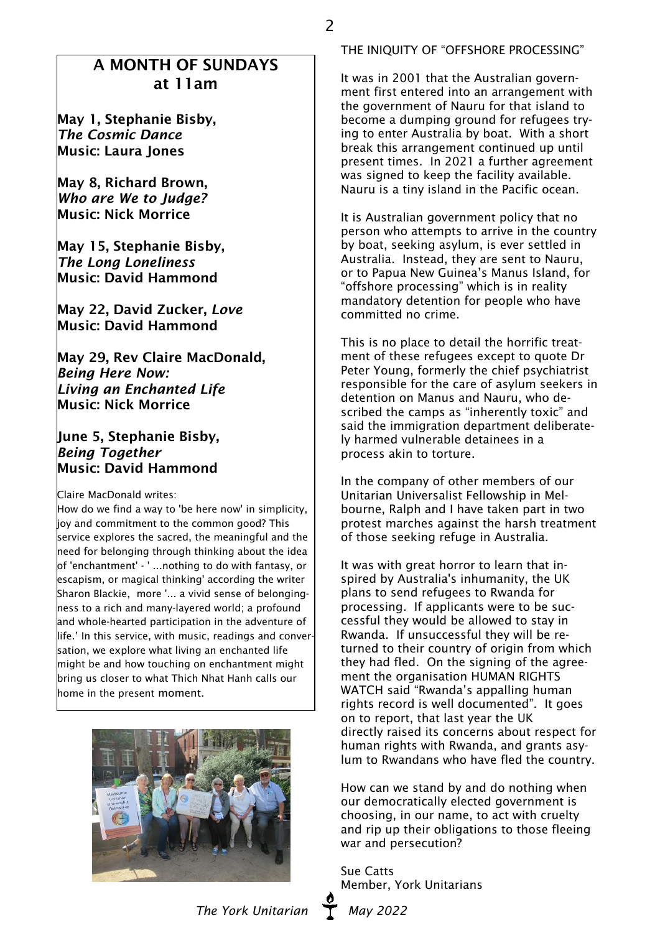May 1, Stephanie Bisby, *The Cosmic Dance* Music: Laura Jones

May 8, Richard Brown, *Who are We to Judge?* Music: Nick Morrice

May 15, Stephanie Bisby, *The Long Loneliness* Music: David Hammond

May 22, David Zucker, *Love* Music: David Hammond

May 29, Rev Claire MacDonald, *Being Here Now: Living an Enchanted Life* Music: Nick Morrice

#### June 5, Stephanie Bisby, *Being Together* Music: David Hammond

Claire MacDonald writes:

How do we find a way to 'be here now' in simplicity, joy and commitment to the common good? This service explores the sacred, the meaningful and the need for belonging through thinking about the idea of 'enchantment' - ' ...nothing to do with fantasy, or escapism, or magical thinking' according the writer Sharon Blackie, more '... a vivid sense of belongingness to a rich and many-layered world; a profound and whole-hearted participation in the adventure of life.' In this service, with music, readings and conversation, we explore what living an enchanted life might be and how touching on enchantment might bring us closer to what Thich Nhat Hanh calls our home in the present moment.



THE INIQUITY OF "OFFSHORE PROCESSING"

2

It was in 2001 that the Australian government first entered into an arrangement with the government of Nauru for that island to become a dumping ground for refugees trying to enter Australia by boat. With a short break this arrangement continued up until present times. In 2021 a further agreement was signed to keep the facility available. Nauru is a tiny island in the Pacific ocean.

It is Australian government policy that no person who attempts to arrive in the country by boat, seeking asylum, is ever settled in Australia. Instead, they are sent to Nauru, or to Papua New Guinea's Manus Island, for "offshore processing" which is in reality mandatory detention for people who have committed no crime.

This is no place to detail the horrific treatment of these refugees except to quote Dr Peter Young, formerly the chief psychiatrist responsible for the care of asylum seekers in detention on Manus and Nauru, who described the camps as "inherently toxic" and said the immigration department deliberately harmed vulnerable detainees in a process akin to torture.

In the company of other members of our Unitarian Universalist Fellowship in Melbourne, Ralph and I have taken part in two protest marches against the harsh treatment of those seeking refuge in Australia.

It was with great horror to learn that inspired by Australia's inhumanity, the UK plans to send refugees to Rwanda for processing. If applicants were to be successful they would be allowed to stay in Rwanda. If unsuccessful they will be returned to their country of origin from which they had fled. On the signing of the agreement the organisation HUMAN RIGHTS WATCH said "Rwanda's appalling human rights record is well documented". It goes on to report, that last year the UK directly raised its concerns about respect for human rights with Rwanda, and grants asylum to Rwandans who have fled the country.

How can we stand by and do nothing when our democratically elected government is choosing, in our name, to act with cruelty and rip up their obligations to those fleeing war and persecution?

Sue Catts Member, York Unitarians

The York Unitarian T May 2022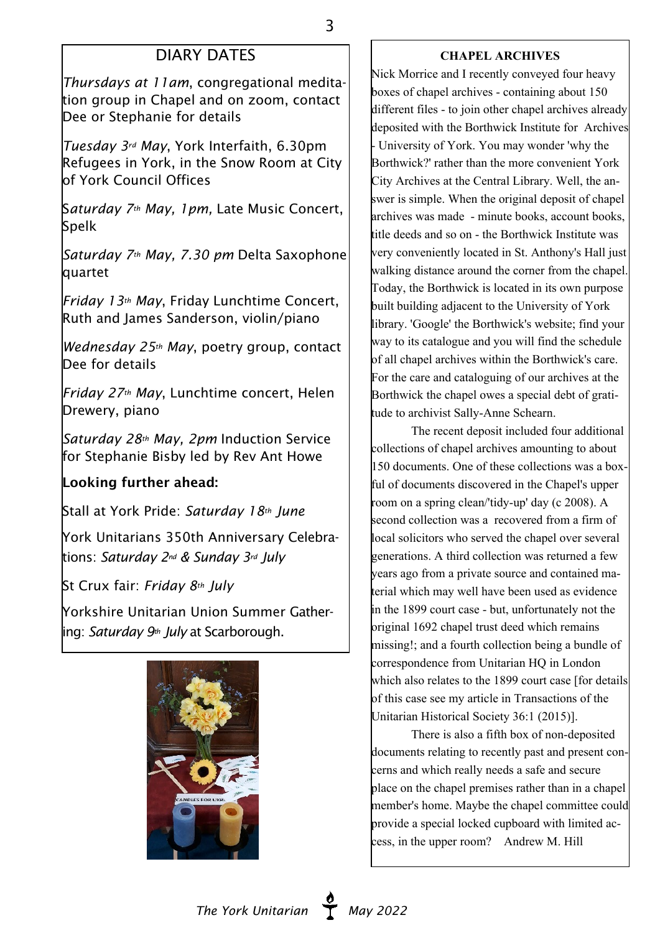# DIARY DATES

*Thursdays at 11am*, congregational meditation group in Chapel and on zoom, contact Dee or Stephanie for details

*Tuesday 3rd May*, York Interfaith, 6.30pm Refugees in York, in the Snow Room at City of York Council Offices

S*aturday 7th May, 1pm,* Late Music Concert, Spelk

*Saturday 7th May, 7.30 pm* Delta Saxophone quartet

*Friday 13th May*, Friday Lunchtime Concert, Ruth and James Sanderson, violin/piano

*Wednesday 25th May*, poetry group, contact Dee for details

*Friday 27th May*, Lunchtime concert, Helen Drewery, piano

*Saturday 28th May, 2pm* Induction Service for Stephanie Bisby led by Rev Ant Howe

## Looking further ahead:

Stall at York Pride: *Saturday 18th June*

York Unitarians 350th Anniversary Celebrations: *Saturday 2nd & Sunday 3rd July*

St Crux fair: *Friday 8th July*

Yorkshire Unitarian Union Summer Gathering: *Saturday 9th July* at Scarborough.



#### **CHAPEL ARCHIVES**

Nick Morrice and I recently conveyed four heavy boxes of chapel archives - containing about 150 different files - to join other chapel archives already deposited with the Borthwick Institute for Archives - University of York. You may wonder 'why the Borthwick?' rather than the more convenient York City Archives at the Central Library. Well, the answer is simple. When the original deposit of chapel archives was made - minute books, account books, title deeds and so on - the Borthwick Institute was very conveniently located in St. Anthony's Hall just walking distance around the corner from the chapel. Today, the Borthwick is located in its own purpose built building adjacent to the University of York library. 'Google' the Borthwick's website; find your way to its catalogue and you will find the schedule of all chapel archives within the Borthwick's care. For the care and cataloguing of our archives at the Borthwick the chapel owes a special debt of gratitude to archivist Sally-Anne Schearn.

 The recent deposit included four additional collections of chapel archives amounting to about 150 documents. One of these collections was a boxful of documents discovered in the Chapel's upper room on a spring clean/'tidy-up' day (c 2008). A second collection was a recovered from a firm of local solicitors who served the chapel over several generations. A third collection was returned a few years ago from a private source and contained material which may well have been used as evidence in the 1899 court case - but, unfortunately not the original 1692 chapel trust deed which remains missing!; and a fourth collection being a bundle of correspondence from Unitarian HQ in London which also relates to the 1899 court case [for details] of this case see my article in Transactions of the Unitarian Historical Society 36:1 (2015)].

 There is also a fifth box of non-deposited documents relating to recently past and present concerns and which really needs a safe and secure place on the chapel premises rather than in a chapel member's home. Maybe the chapel committee could provide a special locked cupboard with limited access, in the upper room? Andrew M. Hill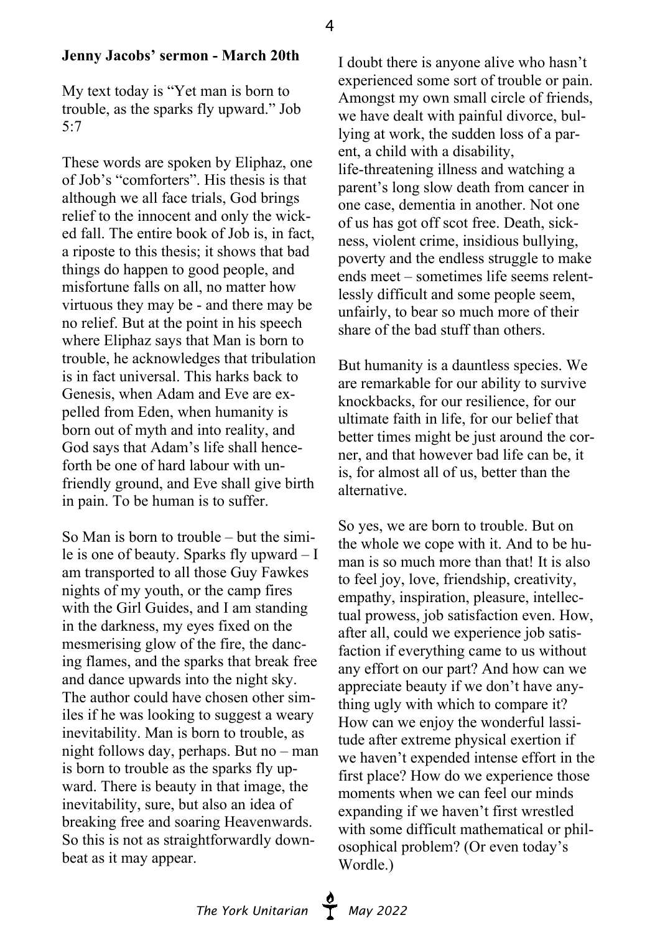### **Jenny Jacobs' sermon - March 20th**

My text today is "Yet man is born to trouble, as the sparks fly upward." Job 5:7

These words are spoken by Eliphaz, one of Job's "comforters". His thesis is that although we all face trials, God brings relief to the innocent and only the wicked fall. The entire book of Job is, in fact, a riposte to this thesis; it shows that bad things do happen to good people, and misfortune falls on all, no matter how virtuous they may be - and there may be no relief. But at the point in his speech where Eliphaz says that Man is born to trouble, he acknowledges that tribulation is in fact universal. This harks back to Genesis, when Adam and Eve are expelled from Eden, when humanity is born out of myth and into reality, and God says that Adam's life shall henceforth be one of hard labour with unfriendly ground, and Eve shall give birth in pain. To be human is to suffer.

So Man is born to trouble – but the simile is one of beauty. Sparks fly upward – I am transported to all those Guy Fawkes nights of my youth, or the camp fires with the Girl Guides, and I am standing in the darkness, my eyes fixed on the mesmerising glow of the fire, the dancing flames, and the sparks that break free and dance upwards into the night sky. The author could have chosen other similes if he was looking to suggest a weary inevitability. Man is born to trouble, as night follows day, perhaps. But no – man is born to trouble as the sparks fly upward. There is beauty in that image, the inevitability, sure, but also an idea of breaking free and soaring Heavenwards. So this is not as straightforwardly downbeat as it may appear.

I doubt there is anyone alive who hasn't experienced some sort of trouble or pain. Amongst my own small circle of friends, we have dealt with painful divorce, bullying at work, the sudden loss of a parent, a child with a disability, life-threatening illness and watching a parent's long slow death from cancer in one case, dementia in another. Not one of us has got off scot free. Death, sickness, violent crime, insidious bullying, poverty and the endless struggle to make ends meet – sometimes life seems relentlessly difficult and some people seem, unfairly, to bear so much more of their share of the bad stuff than others.

But humanity is a dauntless species. We are remarkable for our ability to survive knockbacks, for our resilience, for our ultimate faith in life, for our belief that better times might be just around the corner, and that however bad life can be, it is, for almost all of us, better than the alternative.

So yes, we are born to trouble. But on the whole we cope with it. And to be human is so much more than that! It is also to feel joy, love, friendship, creativity, empathy, inspiration, pleasure, intellectual prowess, job satisfaction even. How, after all, could we experience job satisfaction if everything came to us without any effort on our part? And how can we appreciate beauty if we don't have anything ugly with which to compare it? How can we enjoy the wonderful lassitude after extreme physical exertion if we haven't expended intense effort in the first place? How do we experience those moments when we can feel our minds expanding if we haven't first wrestled with some difficult mathematical or philosophical problem? (Or even today's Wordle.)

The York Unitarian **May 2022**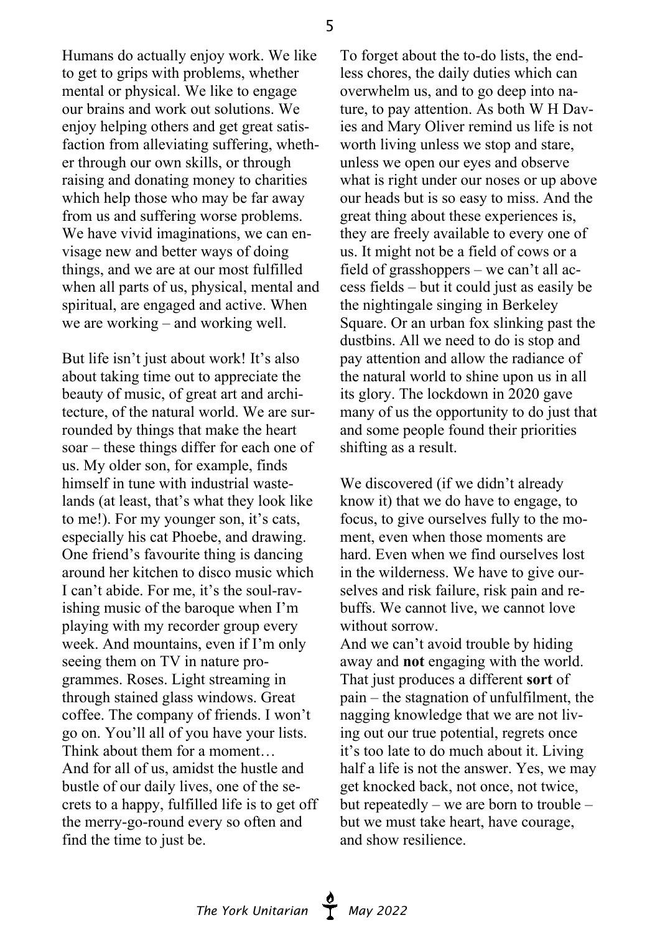5

Humans do actually enjoy work. We like to get to grips with problems, whether mental or physical. We like to engage our brains and work out solutions. We enjoy helping others and get great satisfaction from alleviating suffering, whether through our own skills, or through raising and donating money to charities which help those who may be far away from us and suffering worse problems. We have vivid imaginations, we can envisage new and better ways of doing things, and we are at our most fulfilled when all parts of us, physical, mental and spiritual, are engaged and active. When we are working – and working well.

But life isn't just about work! It's also about taking time out to appreciate the beauty of music, of great art and architecture, of the natural world. We are surrounded by things that make the heart soar – these things differ for each one of us. My older son, for example, finds himself in tune with industrial wastelands (at least, that's what they look like to me!). For my younger son, it's cats, especially his cat Phoebe, and drawing. One friend's favourite thing is dancing around her kitchen to disco music which I can't abide. For me, it's the soul-ravishing music of the baroque when I'm playing with my recorder group every week. And mountains, even if I'm only seeing them on TV in nature programmes. Roses. Light streaming in through stained glass windows. Great coffee. The company of friends. I won't go on. You'll all of you have your lists. Think about them for a moment… And for all of us, amidst the hustle and bustle of our daily lives, one of the secrets to a happy, fulfilled life is to get off the merry-go-round every so often and find the time to just be.

To forget about the to-do lists, the endless chores, the daily duties which can overwhelm us, and to go deep into nature, to pay attention. As both W H Davies and Mary Oliver remind us life is not worth living unless we stop and stare, unless we open our eyes and observe what is right under our noses or up above our heads but is so easy to miss. And the great thing about these experiences is, they are freely available to every one of us. It might not be a field of cows or a field of grasshoppers – we can't all access fields – but it could just as easily be the nightingale singing in Berkeley Square. Or an urban fox slinking past the dustbins. All we need to do is stop and pay attention and allow the radiance of the natural world to shine upon us in all its glory. The lockdown in 2020 gave many of us the opportunity to do just that and some people found their priorities shifting as a result.

We discovered (if we didn't already know it) that we do have to engage, to focus, to give ourselves fully to the moment, even when those moments are hard. Even when we find ourselves lost in the wilderness. We have to give ourselves and risk failure, risk pain and rebuffs. We cannot live, we cannot love without sorrow.

And we can't avoid trouble by hiding away and **not** engaging with the world. That just produces a different **sort** of pain – the stagnation of unfulfilment, the nagging knowledge that we are not living out our true potential, regrets once it's too late to do much about it. Living half a life is not the answer. Yes, we may get knocked back, not once, not twice, but repeatedly – we are born to trouble – but we must take heart, have courage, and show resilience.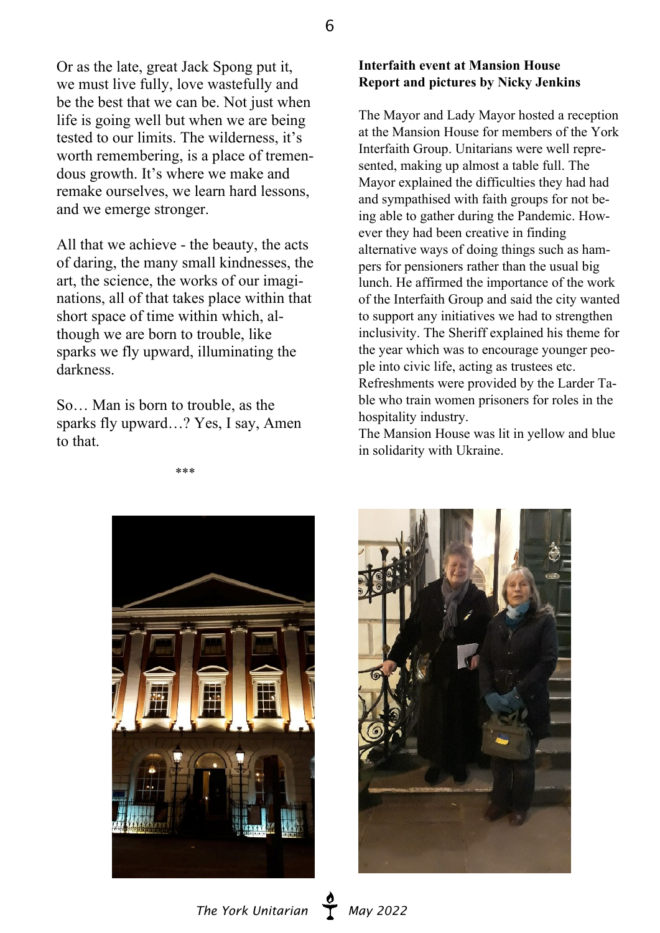Or as the late, great Jack Spong put it, we must live fully, love wastefully and be the best that we can be. Not just when life is going well but when we are being tested to our limits. The wilderness, it's worth remembering, is a place of tremendous growth. It's where we make and remake ourselves, we learn hard lessons, and we emerge stronger.

All that we achieve - the beauty, the acts of daring, the many small kindnesses, the art, the science, the works of our imaginations, all of that takes place within that short space of time within which, although we are born to trouble, like sparks we fly upward, illuminating the darkness.

So… Man is born to trouble, as the sparks fly upward…? Yes, I say, Amen to that.

\*\*\*

#### **Interfaith event at Mansion House Report and pictures by Nicky Jenkins**

The Mayor and Lady Mayor hosted a reception at the Mansion House for members of the York Interfaith Group. Unitarians were well represented, making up almost a table full. The Mayor explained the difficulties they had had and sympathised with faith groups for not being able to gather during the Pandemic. However they had been creative in finding alternative ways of doing things such as hampers for pensioners rather than the usual big lunch. He affirmed the importance of the work of the Interfaith Group and said the city wanted to support any initiatives we had to strengthen inclusivity. The Sheriff explained his theme for the year which was to encourage younger people into civic life, acting as trustees etc. Refreshments were provided by the Larder Table who train women prisoners for roles in the hospitality industry.

The Mansion House was lit in yellow and blue in solidarity with Ukraine.





*The York Unitarian* **May 2022**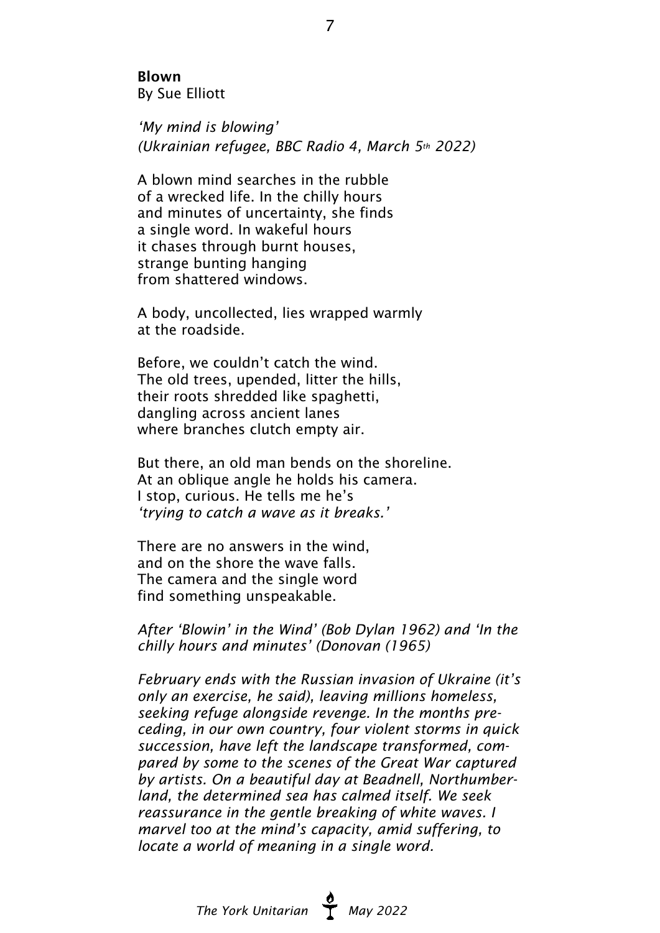Blown By Sue Elliott

*'My mind is blowing' (Ukrainian refugee, BBC Radio 4, March 5th 2022)*

A blown mind searches in the rubble of a wrecked life. In the chilly hours and minutes of uncertainty, she finds a single word. In wakeful hours it chases through burnt houses, strange bunting hanging from shattered windows.

A body, uncollected, lies wrapped warmly at the roadside.

Before, we couldn't catch the wind. The old trees, upended, litter the hills, their roots shredded like spaghetti, dangling across ancient lanes where branches clutch empty air.

But there, an old man bends on the shoreline. At an oblique angle he holds his camera. I stop, curious. He tells me he's *'trying to catch a wave as it breaks.'*

There are no answers in the wind, and on the shore the wave falls. The camera and the single word find something unspeakable.

*After 'Blowin' in the Wind' (Bob Dylan 1962) and 'In the chilly hours and minutes' (Donovan (1965)*

*February ends with the Russian invasion of Ukraine (it's only an exercise, he said), leaving millions homeless, seeking refuge alongside revenge. In the months preceding, in our own country, four violent storms in quick succession, have left the landscape transformed, compared by some to the scenes of the Great War captured by artists. On a beautiful day at Beadnell, Northumberland, the determined sea has calmed itself. We seek reassurance in the gentle breaking of white waves. I marvel too at the mind's capacity, amid suffering, to locate a world of meaning in a single word.*